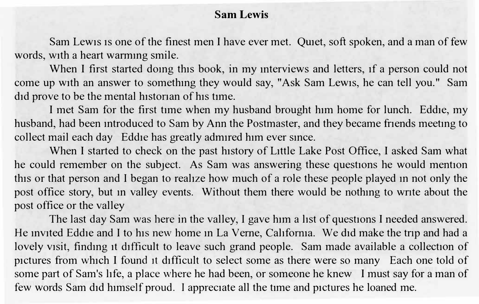## **Sam Lewis**

Sam Lewis is one of the finest men I have ever met. Quiet, soft spoken, and a man of few words, with a heart warming smile.

When I first started doing this book, in my interviews and letters, if a person could not come up with an answer to somethmg they would say, "Ask Sam Lewis, he can tell you." Sam did prove to be the mental historian of his time.

I met Sam for the first time when my husband brought him home for lunch. Eddie, my husband, had been mtroduced to Sam by Ann the Postmaster, and they became friends meetmg to collect mail each day Eddie has greatly admired him ever since.

When I started to check on the past history of Little Lake Post Office, I asked Sam what he could remember on the subject. As Sam was answering these questions he would mention this or that person and I began to realize how much of a role these people played m not only the post office story, but m valley events. Without them there would be nothmg to wnte about the post office or the valley

The last day Sam was here in the valley, I gave him a hst of questions I needed answered. He invited Eddie and I to his new home in La Verne, California. We did make the trip and had a lovely visit, finding it difficult to leave such grand people. Sam made available a collection of pictures from which I found 1t difficult to select some as there were so many Each one told of some part of Sam's life, a place where he had been, or someone he knew I must say for a man of few words Sam did himself proud. l appreciate all the time and pictures he loaned me.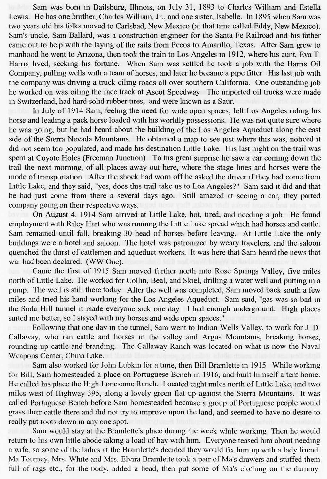Sam was born in Bailsburg, Illinois, on July 31, 1893 to Charles William and Estella Lewis. He has one brother, Charles William, Jr., and one sister, Isabelle. In 1895 when Sam was two years old his folks moved to Carlsbad, New Mexico (at that time called Eddy, New Mexico). Sam's uncle, Sam Ballard, was a construction engineer for the Santa Fe Railroad and his father came out to help with the laying of the rails from Pecos to Amarillo, Texas. After Sam grew to manhood he went to Arizona, then took the train to Los Angeles in 1912, where his aunt, Eva T Harris lived, seeking his fortune. When Sam was settled he took a job with the Harris Oil Company, pulling wells with a team of horses, and later he became a pipe fitter His last job with the company was driving a truck oiling roads all over southern California. One outstanding job he worked on was oiling the race track at Ascot Speedway The imported oil trucks were made in Switzerland, had hard solid rubber tires, and were known as a Saur.

In July of 1914 Sam, feeling the need for wide open spaces, left Los Angeles riding his horse and leading a pack horse loaded with his worldly possessions. He was not quite sure where he was going, but he had heard about the building of the Los Angeles Aqueduct along the east side of the Sierra Nevada Mountains. He obtained a map to see just where this was, noticed it did not seem too populated, and made his destination Little Lake. His last night on the trail was spent at Coyote Holes (Freeman Junction) To his great surprise he saw a car coming down the trail the next morning, of all places away out here, where the stage lines and horses were the mode of transportation. After the shock had worn off he asked the driver if they had come from Little Lake, and they said, "yes, does this trail take us to Los Angeles?" Sam said it did and that he had just come from there a several days ago. Still amazed at seeing a car, they parted company going on their respective ways.

On August 4, 1914 Sam arrived at Little Lake, hot, tired, and needing a job He found employment with Riley Hart who was running the Little Lake spread which had horses and cattle. Sam remained until fall, breaking 30 head of horses before leaving. At Little Lake the only buildings were a hotel and saloon. The hotel was patronized by weary travelers, and the saloon quenched the thirst of cattlemen and aqueduct workers. It was here that Sam heard the news that war had been declared. (WW One).

Came the first of 1915 Sam moved further north into Rose Springs Valley, five miles north of Little Lake. He worked for Collin, Beal, and Skiel, drilling a water well and putting in a pump. The well is still there today After the well was completed, Sam moved back south a few miles and tried his hand working for the Los Angeles Aqueduct. Sam said, "gas was so bad in the Soda Hill tunnel it made everyone sick one day I had enough underground. High places suited me better, so I stayed with my horses and wide open spaces."

Following that one day in the tunnel, Sam went to Indian Wells Valley, to work for J D Callaway, who ran cattle and horses in the valley and Argus Mountains, breaking horses, rounding up cattle and branding. The Callaway Ranch was located on what is now the Naval Weapons Center, China Lake.

Sam also worked for John Lubkin for a time, then Bill Bramlette in 1915 While working for Bill, Sam homesteaded a place on Portuguese Bench in 1916, and built himself a tent home. He called his place the High Lonesome Ranch. Located eight miles north of Little Lake, and two miles west of Highway 395, along a lovely green flat up against the Sierra Mountains. It was called Portuguese Bench before Sam homesteaded because a group of Portuguese people would grass their cattle there and did not try to improve upon the land, and seemed to have no desire to really put roots down in any one spot.

Sam would stay at the Bramlette's place during the week while working Then he would return to his own little abode taking a load of hay with him. Everyone teased him about needing a wife, so some of the ladies at the Bramlette's decided they would fix him up with a lady friend. Ma Toumey, Mrs. White and Mrs. Elvira Bramlette took a pair of Ma's drawers and stuffed them full of rags etc., for the body, added a head, then put some of Ma's clothing on the dummy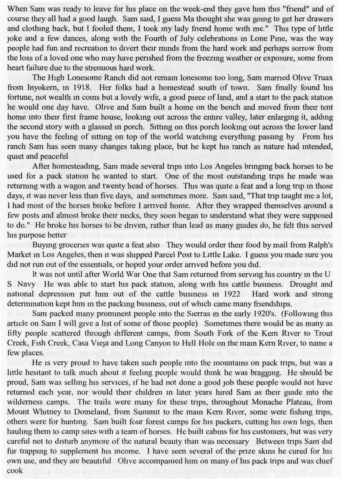When Sam was ready to leave for his place on the week-end they gave him this "friend" and of course they all had a good laugh. Sam said, I guess Ma thought she was going to get her drawers and clothing back, but I fooled them, I took my lady friend home with me." This type of little joke and a few dances, along with the Fourth of July celebrations in Lone Pine, was the way people had fun and recreation to divert their minds from the hard work and perhaps sorrow from the loss of a loved one who may have perished from the freezing weather or exposure, some from heart failure due to the strenuous hard work.

The High Lonesome Ranch did not remain lonesome too long, Sam married Olive Truax from Inyokern, in 1918. Her folks had a homestead south of town. Sam finally found his fortune, not wealth in coins but a lovely wife, a good piece of land, and a start to the pack station he would one day have. Olive and Sam built a home on the bench and moved from their tent home into their first frame house, looking out across the entire valley, later enlarging it, adding the second story with a glassed in porch. Sitting on this porch looking out across the lower land you have the feeling of sitting on top of the world watching everything passing by From his ranch Sam has seen many changes taking place, but he kept his ranch as nature had intended, quiet and peaceful

After homesteading, Sam made several trips into Los Angeles bringing back horses to be used for a pack station he wanted to start. One of the most outstanding trips he made was returning with a wagon and twenty head of horses. This was quite a feat and a long trip in those days, it was never less than five days, and sometimes more. Sam said, "That trip taught me a lot, I had most of the horses broke before I arrived home. After they wrapped themselves around a few posts and almost broke their necks, they soon began to understand what they were supposed to do." He broke his horses to be driven, rather than lead as many guides do, he felt this served his purpose better

Buying groceries was quite a feat also They would order their food by mail from Ralph's Market in Los Angeles, then it was shipped Parcel Post to Little Lake. I guess you made sure you did not run out of the essentials, or hoped your order arrived before you did.

It was not until after World War One that Sam returned from serving his country in the U S Navy He was able to start his pack station, along with his cattle business. Drought and national depression put him out of the cattle business in 1922 Hard work and strong determination kept him in the packing business, out of which came many friendships.

Sam packed many prominent people into the Sierras in the early 1920's. (Following this article on Sam I will give a list of some of those people) Sometimes there would be as many as fifty people scattered through different camps, from South Fork of the Kern River to Trout Creek, Fish Creek, Casa Vieja and Long Canyon to Hell Hole on the main Kern River, to name a few places.

He is very proud to have taken such people into the mountains on pack trips, but was a little hesitant to talk much about it feeling people would think he was bragging. He should be proud, Sam was selling his services, if he had not done a good job these people would not have returned each year, nor would their children in later years hired Sam as their guide into the wilderness camps. The trails were many for these trips, throughout Monache Plateau, from Mount Whitney to Domeland, from Summit to the main Kern River, some were fishing trips, others were for hunting. Sam built four forest camps for his packers, cutting his own logs, then hauling them to camp sites with a team of horses. He built cabins for his customers, but was very careful not to disturb anymore of the natural beauty than was necessary Between trips Sam did fur trapping to supplement his income. I have seen several of the prize skins he cured for his own use, and they are beautiful Olive accompanied him on many of his pack trips and was chief cook